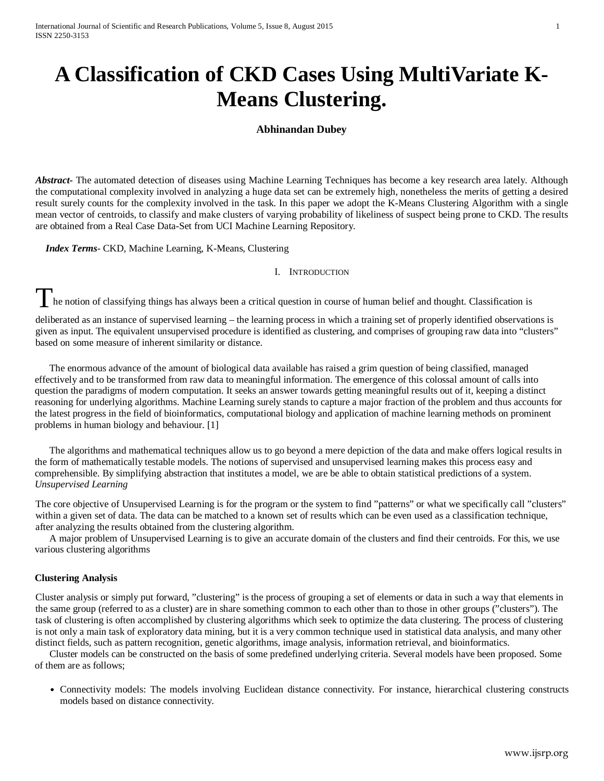# **A Classification of CKD Cases Using MultiVariate K-Means Clustering.**

## **Abhinandan Dubey**

*Abstract***-** The automated detection of diseases using Machine Learning Techniques has become a key research area lately. Although the computational complexity involved in analyzing a huge data set can be extremely high, nonetheless the merits of getting a desired result surely counts for the complexity involved in the task. In this paper we adopt the K-Means Clustering Algorithm with a single mean vector of centroids, to classify and make clusters of varying probability of likeliness of suspect being prone to CKD. The results are obtained from a Real Case Data-Set from UCI Machine Learning Repository.

 *Index Terms*- CKD, Machine Learning, K-Means, Clustering

## I. INTRODUCTION

The notion of classifying things has always been a critical question in course of human belief and thought. Classification is

deliberated as an instance of supervised learning – the learning process in which a training set of properly identified observations is given as input. The equivalent unsupervised procedure is identified as clustering, and comprises of grouping raw data into "clusters" based on some measure of inherent similarity or distance.

The enormous advance of the amount of biological data available has raised a grim question of being classified, managed effectively and to be transformed from raw data to meaningful information. The emergence of this colossal amount of calls into question the paradigms of modern computation. It seeks an answer towards getting meaningful results out of it, keeping a distinct reasoning for underlying algorithms. Machine Learning surely stands to capture a major fraction of the problem and thus accounts for the latest progress in the field of bioinformatics, computational biology and application of machine learning methods on prominent problems in human biology and behaviour. [1]

The algorithms and mathematical techniques allow us to go beyond a mere depiction of the data and make offers logical results in the form of mathematically testable models. The notions of supervised and unsupervised learning makes this process easy and comprehensible. By simplifying abstraction that institutes a model, we are be able to obtain statistical predictions of a system. *Unsupervised Learning*

The core objective of Unsupervised Learning is for the program or the system to find "patterns" or what we specifically call "clusters" within a given set of data. The data can be matched to a known set of results which can be even used as a classification technique, after analyzing the results obtained from the clustering algorithm.

A major problem of Unsupervised Learning is to give an accurate domain of the clusters and find their centroids. For this, we use various clustering algorithms

### **Clustering Analysis**

Cluster analysis or simply put forward, "clustering" is the process of grouping a set of elements or data in such a way that elements in the same group (referred to as a cluster) are in share something common to each other than to those in other groups ("clusters"). The task of clustering is often accomplished by clustering algorithms which seek to optimize the data clustering. The process of clustering is not only a main task of exploratory data mining, but it is a very common technique used in statistical data analysis, and many other distinct fields, such as pattern recognition, genetic algorithms, image analysis, information retrieval, and bioinformatics.

Cluster models can be constructed on the basis of some predefined underlying criteria. Several models have been proposed. Some of them are as follows;

• Connectivity models: The models involving Euclidean distance connectivity. For instance, hierarchical clustering constructs models based on distance connectivity.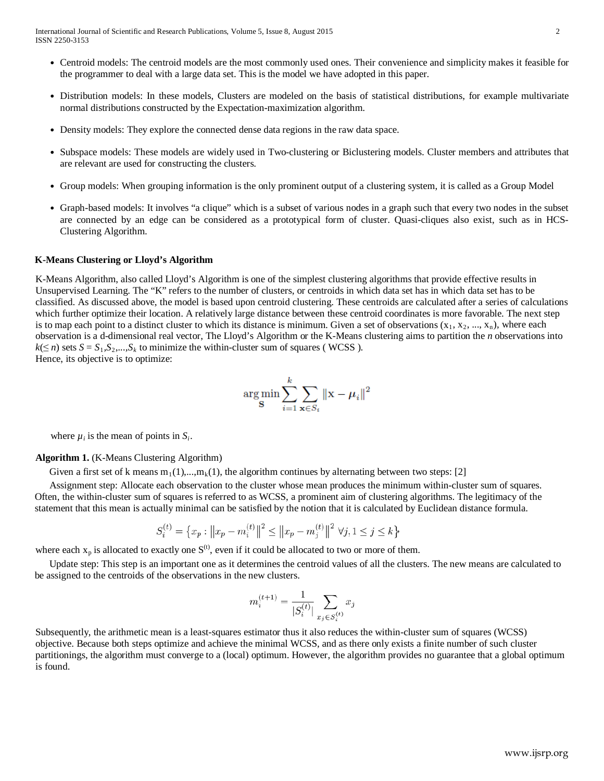- Centroid models: The centroid models are the most commonly used ones. Their convenience and simplicity makes it feasible for the programmer to deal with a large data set. This is the model we have adopted in this paper.
- Distribution models: In these models, Clusters are modeled on the basis of statistical distributions, for example multivariate normal distributions constructed by the Expectation-maximization algorithm.
- Density models: They explore the connected dense data regions in the raw data space.
- Subspace models: These models are widely used in Two-clustering or Biclustering models. Cluster members and attributes that are relevant are used for constructing the clusters.
- Group models: When grouping information is the only prominent output of a clustering system, it is called as a Group Model
- Graph-based models: It involves "a clique" which is a subset of various nodes in a graph such that every two nodes in the subset are connected by an edge can be considered as a prototypical form of cluster. Quasi-cliques also exist, such as in HCS-Clustering Algorithm.

#### **K-Means Clustering or Lloyd's Algorithm**

K-Means Algorithm, also called Lloyd's Algorithm is one of the simplest clustering algorithms that provide effective results in Unsupervised Learning. The "K" refers to the number of clusters, or centroids in which data set has in which data set has to be classified. As discussed above, the model is based upon centroid clustering. These centroids are calculated after a series of calculations which further optimize their location. A relatively large distance between these centroid coordinates is more favorable. The next step is to map each point to a distinct cluster to which its distance is minimum. Given a set of observations  $(x_1, x_2, ..., x_n)$ , where each observation is a d-dimensional real vector, The Lloyd's Algorithm or the K-Means clustering aims to partition the *n* observations into  $k(\leq n)$  sets  $S = S_1, S_2, \ldots, S_k$  to minimize the within-cluster sum of squares (WCSS). Hence, its objective is to optimize:

$$
\argmin_{\mathbf{S}} \sum_{i=1}^k \sum_{\mathbf{x} \in S_i} ||\mathbf{x} - \boldsymbol{\mu}_i||^2
$$

where  $\mu_i$  is the mean of points in  $S_i$ .

#### **Algorithm 1.** (K-Means Clustering Algorithm)

Given a first set of k means  $m_1(1),...,m_k(1)$ , the algorithm continues by alternating between two steps: [2]

Assignment step: Allocate each observation to the cluster whose mean produces the minimum within-cluster sum of squares. Often, the within-cluster sum of squares is referred to as WCSS, a prominent aim of clustering algorithms. The legitimacy of the statement that this mean is actually minimal can be satisfied by the notion that it is calculated by Euclidean distance formula.

$$
S_i^{(t)} = \left\{ x_p : ||x_p - m_i^{(t)}||^2 \le ||x_p - m_j^{(t)}||^2 \ \forall j, 1 \le j \le k \right\}
$$

where each  $x_p$  is allocated to exactly one  $S^{(t)}$ , even if it could be allocated to two or more of them.

Update step: This step is an important one as it determines the centroid values of all the clusters. The new means are calculated to be assigned to the centroids of the observations in the new clusters.

$$
m_i^{(t+1)} = \frac{1}{|S_i^{(t)}|} \sum_{x_j \in S_i^{(t)}} x_j
$$

Subsequently, the arithmetic mean is a least-squares estimator thus it also reduces the within-cluster sum of squares (WCSS) objective. Because both steps optimize and achieve the minimal WCSS, and as there only exists a finite number of such cluster partitionings, the algorithm must converge to a (local) optimum. However, the algorithm provides no guarantee that a global optimum is found.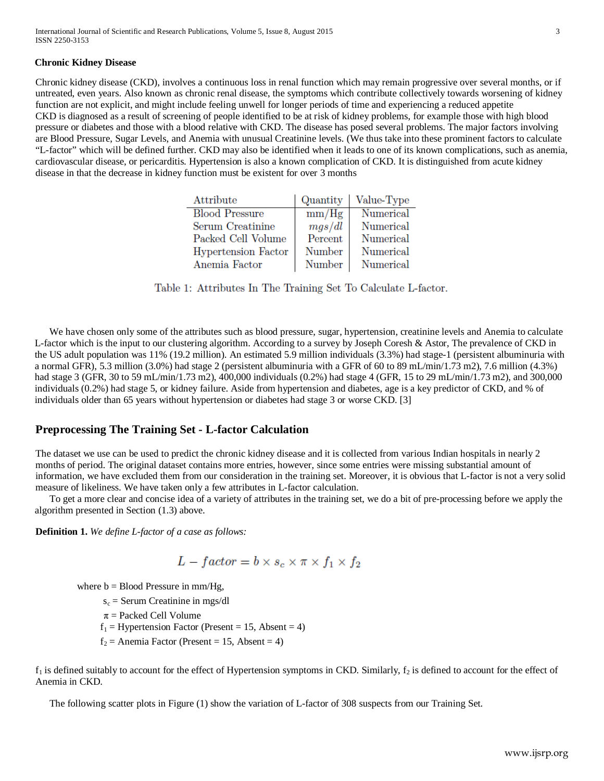### **Chronic Kidney Disease**

Chronic kidney disease (CKD), involves a continuous loss in renal function which may remain progressive over several months, or if untreated, even years. Also known as chronic renal disease, the symptoms which contribute collectively towards worsening of kidney function are not explicit, and might include feeling unwell for longer periods of time and experiencing a reduced appetite CKD is diagnosed as a result of screening of people identified to be at risk of kidney problems, for example those with high blood pressure or diabetes and those with a blood relative with CKD. The disease has posed several problems. The major factors involving are Blood Pressure, Sugar Levels, and Anemia with unusual Creatinine levels. (We thus take into these prominent factors to calculate "L-factor" which will be defined further. CKD may also be identified when it leads to one of its known complications, such as anemia, cardiovascular disease, or pericarditis. Hypertension is also a known complication of CKD. It is distinguished from acute kidney disease in that the decrease in kidney function must be existent for over 3 months

| Attribute             | Quantity      | Value-Type |
|-----------------------|---------------|------------|
| <b>Blood Pressure</b> | mm/Hg         | Numerical  |
| Serum Creatinine      | mgs/dl        | Numerical  |
| Packed Cell Volume    | Percent       | Numerical  |
| Hypertension Factor   | <b>Number</b> | Numerical  |
| Anemia Factor         | Number        | Numerical  |

Table 1: Attributes In The Training Set To Calculate L-factor.

We have chosen only some of the attributes such as blood pressure, sugar, hypertension, creatinine levels and Anemia to calculate L-factor which is the input to our clustering algorithm. According to a survey by Joseph Coresh & Astor, The prevalence of CKD in the US adult population was 11% (19.2 million). An estimated 5.9 million individuals (3.3%) had stage-1 (persistent albuminuria with a normal GFR), 5.3 million (3.0%) had stage 2 (persistent albuminuria with a GFR of 60 to 89 mL/min/1.73 m2), 7.6 million (4.3%) had stage 3 (GFR, 30 to 59 mL/min/1.73 m2), 400,000 individuals (0.2%) had stage 4 (GFR, 15 to 29 mL/min/1.73 m2), and 300,000 individuals (0.2%) had stage 5, or kidney failure. Aside from hypertension and diabetes, age is a key predictor of CKD, and % of individuals older than 65 years without hypertension or diabetes had stage 3 or worse CKD. [3]

# **Preprocessing The Training Set - L-factor Calculation**

The dataset we use can be used to predict the chronic kidney disease and it is collected from various Indian hospitals in nearly 2 months of period. The original dataset contains more entries, however, since some entries were missing substantial amount of information, we have excluded them from our consideration in the training set. Moreover, it is obvious that L-factor is not a very solid measure of likeliness. We have taken only a few attributes in L-factor calculation.

To get a more clear and concise idea of a variety of attributes in the training set, we do a bit of pre-processing before we apply the algorithm presented in Section (1.3) above.

**Definition 1.** *We define L-factor of a case as follows:*

$$
L - factor = b \times s_c \times \pi \times f_1 \times f_2
$$

where  $b = Blood Pressure in mm/Hg$ ,

 $s_c$  = Serum Creatinine in mgs/dl

 $\pi$  = Packed Cell Volume

 $f_1$  = Hypertension Factor (Present = 15, Absent = 4)

 $f_2$  = Anemia Factor (Present = 15, Absent = 4)

 $f_1$  is defined suitably to account for the effect of Hypertension symptoms in CKD. Similarly,  $f_2$  is defined to account for the effect of Anemia in CKD.

The following scatter plots in Figure (1) show the variation of L-factor of 308 suspects from our Training Set.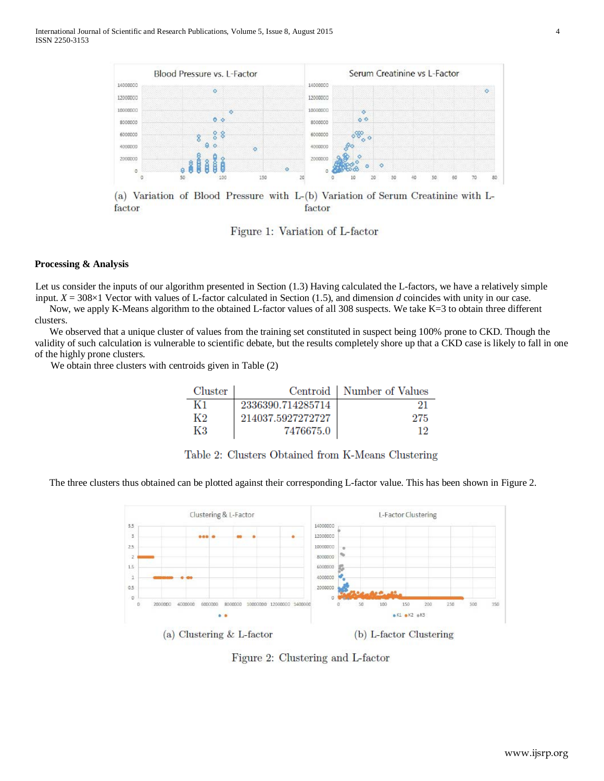

(a) Variation of Blood Pressure with L-(b) Variation of Serum Creatinine with Lfactor factor

Figure 1: Variation of L-factor

### **Processing & Analysis**

Let us consider the inputs of our algorithm presented in Section (1.3) Having calculated the L-factors, we have a relatively simple input. *X* = 308×1 Vector with values of L-factor calculated in Section (1.5), and dimension *d* coincides with unity in our case.

Now, we apply K-Means algorithm to the obtained L-factor values of all 308 suspects. We take K=3 to obtain three different clusters.

We observed that a unique cluster of values from the training set constituted in suspect being 100% prone to CKD. Though the validity of such calculation is vulnerable to scientific debate, but the results completely shore up that a CKD case is likely to fall in one of the highly prone clusters.

We obtain three clusters with centroids given in Table (2)

| Cluster |                   | Centroid   Number of Values |
|---------|-------------------|-----------------------------|
| K1      | 2336390.714285714 |                             |
| K2      | 214037.5927272727 | 275                         |
| -K3     | 7476675.0         |                             |

Table 2: Clusters Obtained from K-Means Clustering

The three clusters thus obtained can be plotted against their corresponding L-factor value. This has been shown in Figure 2.



Figure 2: Clustering and L-factor